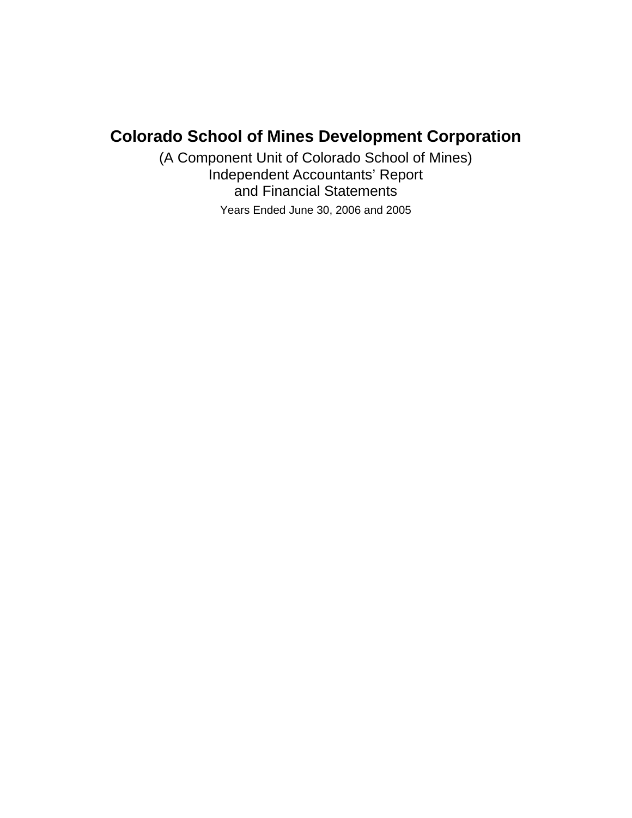## **Colorado School of Mines Development Corporation**

(A Component Unit of Colorado School of Mines) Independent Accountants' Report and Financial Statements Years Ended June 30, 2006 and 2005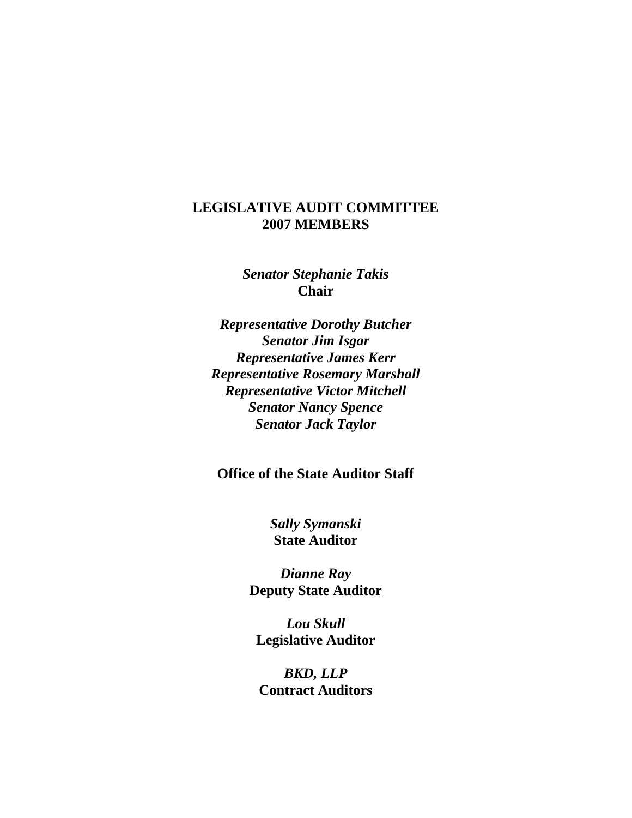### **LEGISLATIVE AUDIT COMMITTEE 2007 MEMBERS**

*Senator Stephanie Takis*  **Chair** 

*Representative Dorothy Butcher Senator Jim Isgar Representative James Kerr Representative Rosemary Marshall Representative Victor Mitchell Senator Nancy Spence Senator Jack Taylor* 

**Office of the State Auditor Staff** 

*Sally Symanski*  **State Auditor** 

*Dianne Ray*  **Deputy State Auditor** 

*Lou Skull*  **Legislative Auditor** 

*BKD, LLP*  **Contract Auditors**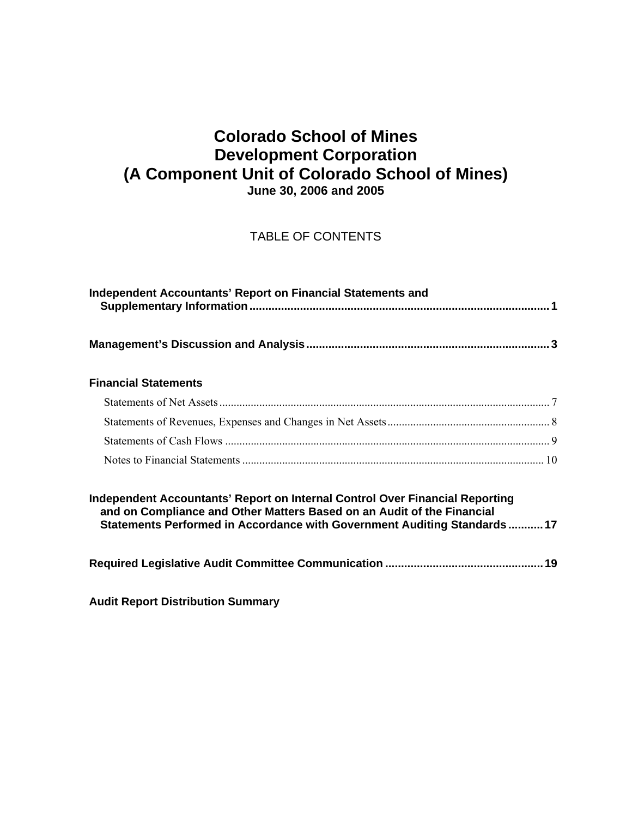### **Colorado School of Mines Development Corporation (A Component Unit of Colorado School of Mines) June 30, 2006 and 2005**

### TABLE OF CONTENTS

| Independent Accountants' Report on Financial Statements and                                                                                                                                                                         |  |
|-------------------------------------------------------------------------------------------------------------------------------------------------------------------------------------------------------------------------------------|--|
|                                                                                                                                                                                                                                     |  |
| <b>Financial Statements</b>                                                                                                                                                                                                         |  |
|                                                                                                                                                                                                                                     |  |
|                                                                                                                                                                                                                                     |  |
|                                                                                                                                                                                                                                     |  |
|                                                                                                                                                                                                                                     |  |
| Independent Accountants' Report on Internal Control Over Financial Reporting<br>and on Compliance and Other Matters Based on an Audit of the Financial<br>Statements Performed in Accordance with Government Auditing Standards  17 |  |
|                                                                                                                                                                                                                                     |  |

**Audit Report Distribution Summary**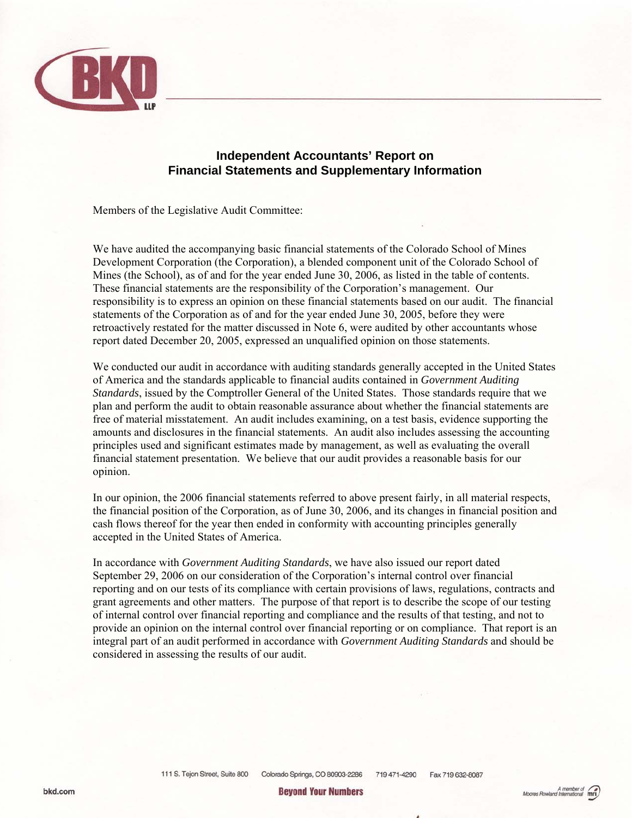

#### **Independent Accountants' Report on Financial Statements and Supplementary Information**

Members of the Legislative Audit Committee:

We have audited the accompanying basic financial statements of the Colorado School of Mines Development Corporation (the Corporation), a blended component unit of the Colorado School of Mines (the School), as of and for the year ended June 30, 2006, as listed in the table of contents. These financial statements are the responsibility of the Corporation's management. Our responsibility is to express an opinion on these financial statements based on our audit. The financial statements of the Corporation as of and for the year ended June 30, 2005, before they were retroactively restated for the matter discussed in Note 6, were audited by other accountants whose report dated December 20, 2005, expressed an unqualified opinion on those statements.

We conducted our audit in accordance with auditing standards generally accepted in the United States of America and the standards applicable to financial audits contained in *Government Auditing Standards*, issued by the Comptroller General of the United States. Those standards require that we plan and perform the audit to obtain reasonable assurance about whether the financial statements are free of material misstatement. An audit includes examining, on a test basis, evidence supporting the amounts and disclosures in the financial statements. An audit also includes assessing the accounting principles used and significant estimates made by management, as well as evaluating the overall financial statement presentation. We believe that our audit provides a reasonable basis for our opinion.

In our opinion, the 2006 financial statements referred to above present fairly, in all material respects, the financial position of the Corporation, as of June 30, 2006, and its changes in financial position and cash flows thereof for the year then ended in conformity with accounting principles generally accepted in the United States of America.

In accordance with *Government Auditing Standards*, we have also issued our report dated September 29, 2006 on our consideration of the Corporation's internal control over financial reporting and on our tests of its compliance with certain provisions of laws, regulations, contracts and grant agreements and other matters. The purpose of that report is to describe the scope of our testing of internal control over financial reporting and compliance and the results of that testing, and not to provide an opinion on the internal control over financial reporting or on compliance. That report is an integral part of an audit performed in accordance with *Government Auditing Standards* and should be considered in assessing the results of our audit.

> 111 S. Tejon Street, Suite 800 Colorado Springs, CO 80903-2286 719 471-4290 Fax 719 632-8087

**Beyond Your Numbers**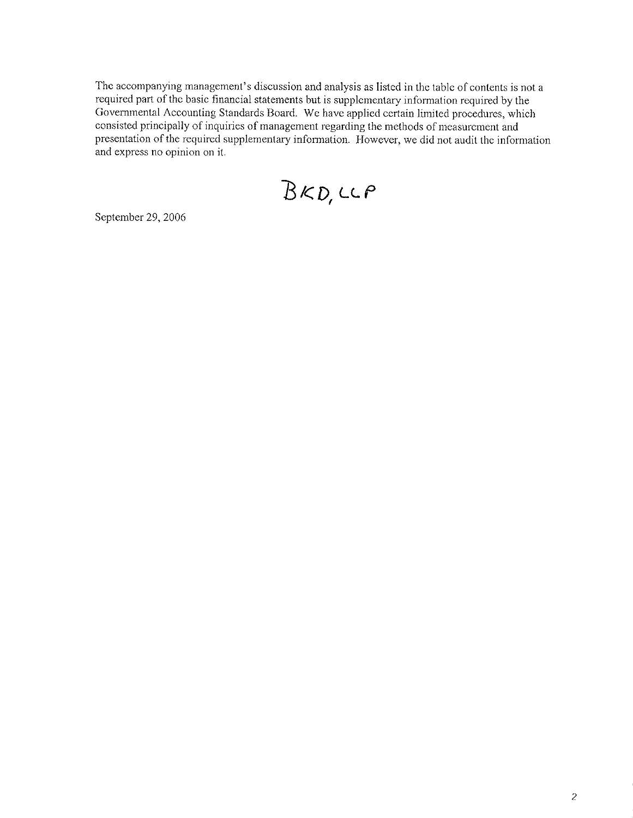The accompanying management's discussion and analysis as listed in the table of contents is not a required part of the basic financial statements but is supplementary information required by the Governmental Accounting Standards Board. We have applied certain limited procedures, which consisted principally of inquiries of management regarding the methods of measurement and presentation of the required supplementary information. However, we did not audit the information and express no opinion on it.

 $BKD, CCP$ 

September 29, 2006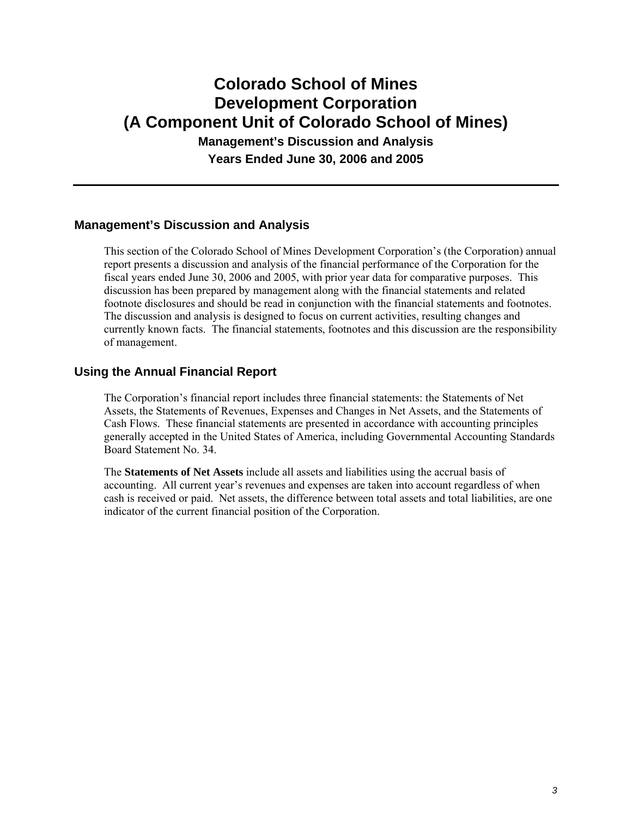## **Colorado School of Mines Development Corporation (A Component Unit of Colorado School of Mines) Management's Discussion and Analysis**

**Years Ended June 30, 2006 and 2005** 

#### **Management's Discussion and Analysis**

This section of the Colorado School of Mines Development Corporation's (the Corporation) annual report presents a discussion and analysis of the financial performance of the Corporation for the fiscal years ended June 30, 2006 and 2005, with prior year data for comparative purposes. This discussion has been prepared by management along with the financial statements and related footnote disclosures and should be read in conjunction with the financial statements and footnotes. The discussion and analysis is designed to focus on current activities, resulting changes and currently known facts. The financial statements, footnotes and this discussion are the responsibility of management.

#### **Using the Annual Financial Report**

The Corporation's financial report includes three financial statements: the Statements of Net Assets, the Statements of Revenues, Expenses and Changes in Net Assets, and the Statements of Cash Flows. These financial statements are presented in accordance with accounting principles generally accepted in the United States of America, including Governmental Accounting Standards Board Statement No. 34.

The **Statements of Net Assets** include all assets and liabilities using the accrual basis of accounting. All current year's revenues and expenses are taken into account regardless of when cash is received or paid. Net assets, the difference between total assets and total liabilities, are one indicator of the current financial position of the Corporation.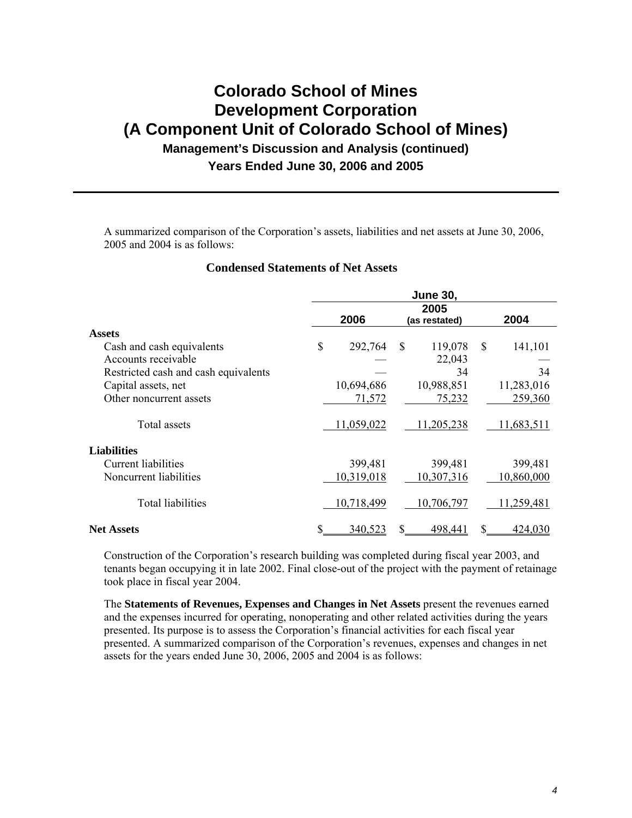### **Colorado School of Mines Development Corporation (A Component Unit of Colorado School of Mines) Management's Discussion and Analysis (continued)**

#### **Years Ended June 30, 2006 and 2005**

A summarized comparison of the Corporation's assets, liabilities and net assets at June 30, 2006, 2005 and 2004 is as follows:

#### **Condensed Statements of Net Assets**

|                                      | <b>June 30,</b> |                               |     |            |    |            |  |
|--------------------------------------|-----------------|-------------------------------|-----|------------|----|------------|--|
|                                      |                 | 2005<br>2006<br>(as restated) |     |            |    | 2004       |  |
| <b>Assets</b>                        |                 |                               |     |            |    |            |  |
| Cash and cash equivalents            | \$              | 292,764                       | S   | 119,078    | \$ | 141,101    |  |
| Accounts receivable                  |                 |                               |     | 22,043     |    |            |  |
| Restricted cash and cash equivalents |                 |                               |     | 34         |    | 34         |  |
| Capital assets, net                  |                 | 10,694,686                    |     | 10,988,851 |    | 11,283,016 |  |
| Other noncurrent assets              |                 | 71,572                        |     | 75,232     |    | 259,360    |  |
| Total assets                         |                 | 11,059,022                    |     | 11,205,238 |    | 11,683,511 |  |
| <b>Liabilities</b>                   |                 |                               |     |            |    |            |  |
| Current liabilities                  |                 | 399,481                       |     | 399,481    |    | 399,481    |  |
| Noncurrent liabilities               |                 | 10,319,018                    |     | 10,307,316 |    | 10,860,000 |  |
| <b>Total liabilities</b>             |                 | 10,718,499                    |     | 10,706,797 |    | 11,259,481 |  |
| <b>Net Assets</b>                    |                 | 340,523                       | \$. | 498,441    | S. | 424,030    |  |

Construction of the Corporation's research building was completed during fiscal year 2003, and tenants began occupying it in late 2002. Final close-out of the project with the payment of retainage took place in fiscal year 2004.

The **Statements of Revenues, Expenses and Changes in Net Assets** present the revenues earned and the expenses incurred for operating, nonoperating and other related activities during the years presented. Its purpose is to assess the Corporation's financial activities for each fiscal year presented. A summarized comparison of the Corporation's revenues, expenses and changes in net assets for the years ended June 30, 2006, 2005 and 2004 is as follows: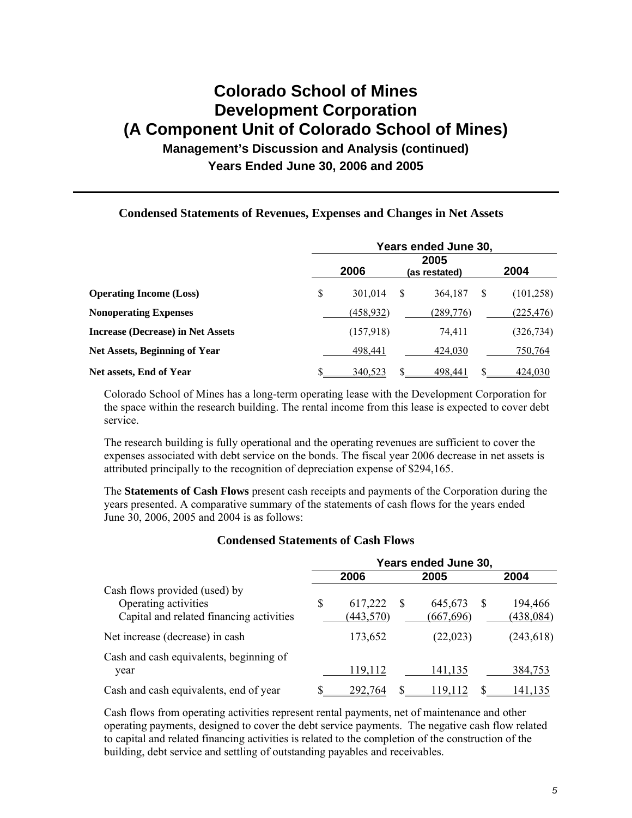# **Colorado School of Mines Development Corporation (A Component Unit of Colorado School of Mines)**

### **Management's Discussion and Analysis (continued) Years Ended June 30, 2006 and 2005**

#### **Condensed Statements of Revenues, Expenses and Changes in Net Assets**

|                                          | Years ended June 30,          |            |              |           |   |            |  |  |
|------------------------------------------|-------------------------------|------------|--------------|-----------|---|------------|--|--|
|                                          | 2005<br>2006<br>(as restated) |            |              |           |   |            |  |  |
| <b>Operating Income (Loss)</b>           | \$                            | 301,014    | <sup>S</sup> | 364,187   | S | (101, 258) |  |  |
| <b>Nonoperating Expenses</b>             |                               | (458, 932) |              | (289,776) |   | (225, 476) |  |  |
| <b>Increase (Decrease) in Net Assets</b> |                               | (157,918)  |              | 74,411    |   | (326, 734) |  |  |
| Net Assets, Beginning of Year            |                               | 498,441    |              | 424,030   |   | 750,764    |  |  |
| Net assets, End of Year                  |                               | 340,523    | S            | 498,441   |   | 424,030    |  |  |

Colorado School of Mines has a long-term operating lease with the Development Corporation for the space within the research building. The rental income from this lease is expected to cover debt service.

The research building is fully operational and the operating revenues are sufficient to cover the expenses associated with debt service on the bonds. The fiscal year 2006 decrease in net assets is attributed principally to the recognition of depreciation expense of \$294,165.

The **Statements of Cash Flows** present cash receipts and payments of the Corporation during the years presented. A comparative summary of the statements of cash flows for the years ended June 30, 2006, 2005 and 2004 is as follows:

#### **Condensed Statements of Cash Flows**

|                                                                                                   | Years ended June 30, |                       |          |                       |  |                       |  |
|---------------------------------------------------------------------------------------------------|----------------------|-----------------------|----------|-----------------------|--|-----------------------|--|
|                                                                                                   |                      | 2006                  |          | 2005                  |  | 2004                  |  |
| Cash flows provided (used) by<br>Operating activities<br>Capital and related financing activities | \$                   | 617,222<br>(443, 570) | <b>S</b> | 645,673<br>(667, 696) |  | 194,466<br>(438, 084) |  |
| Net increase (decrease) in cash                                                                   |                      | 173,652               |          | (22, 023)             |  | (243, 618)            |  |
| Cash and cash equivalents, beginning of<br>year                                                   |                      | 119,112               |          | 141,135               |  | 384,753               |  |
| Cash and cash equivalents, end of year                                                            |                      | 292,764               |          | 19 112                |  | 141.135               |  |

Cash flows from operating activities represent rental payments, net of maintenance and other operating payments, designed to cover the debt service payments. The negative cash flow related to capital and related financing activities is related to the completion of the construction of the building, debt service and settling of outstanding payables and receivables.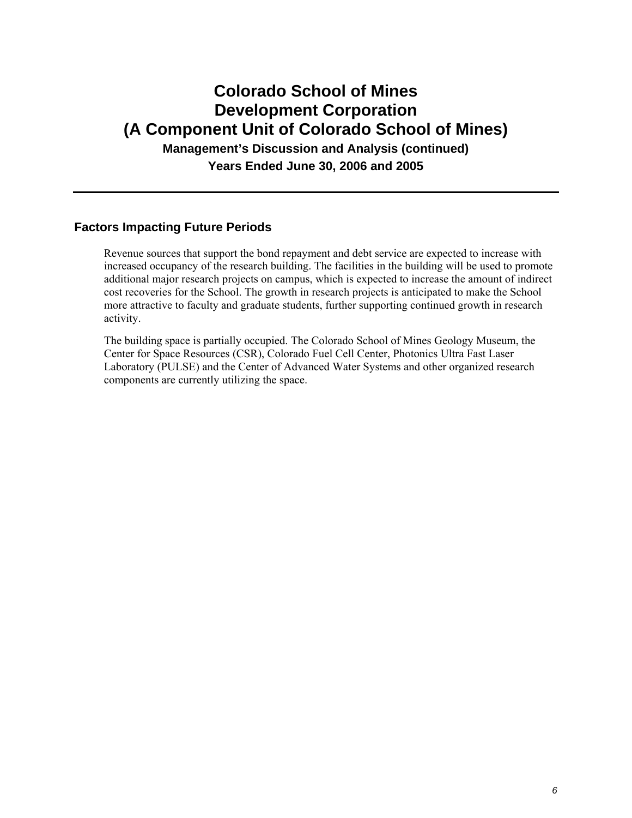### **Colorado School of Mines Development Corporation (A Component Unit of Colorado School of Mines) Management's Discussion and Analysis (continued)**

**Years Ended June 30, 2006 and 2005** 

#### **Factors Impacting Future Periods**

Revenue sources that support the bond repayment and debt service are expected to increase with increased occupancy of the research building. The facilities in the building will be used to promote additional major research projects on campus, which is expected to increase the amount of indirect cost recoveries for the School. The growth in research projects is anticipated to make the School more attractive to faculty and graduate students, further supporting continued growth in research activity.

The building space is partially occupied. The Colorado School of Mines Geology Museum, the Center for Space Resources (CSR), Colorado Fuel Cell Center, Photonics Ultra Fast Laser Laboratory (PULSE) and the Center of Advanced Water Systems and other organized research components are currently utilizing the space.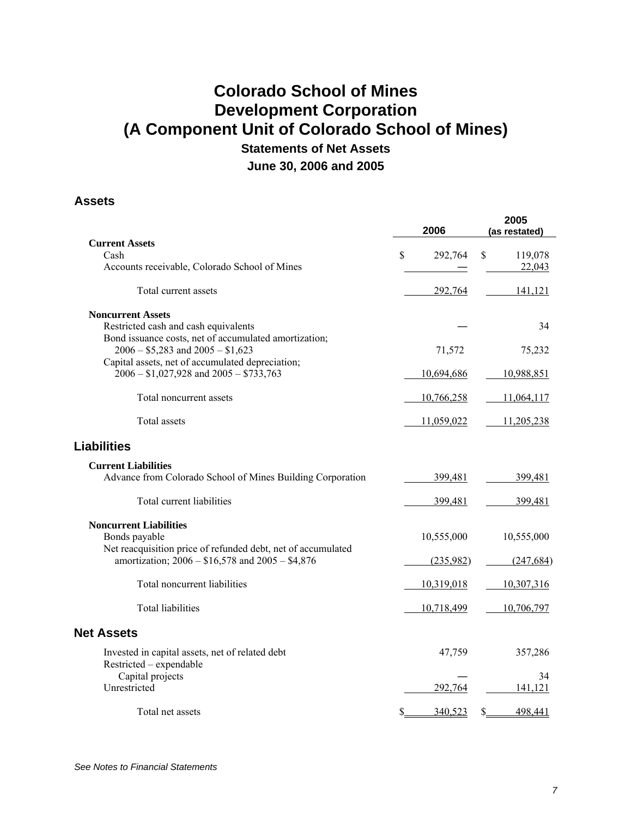### **Colorado School of Mines Development Corporation (A Component Unit of Colorado School of Mines) Statements of Net Assets**

**June 30, 2006 and 2005** 

### **Assets**

|                                                                                              | 2006          | 2005<br>(as restated) |
|----------------------------------------------------------------------------------------------|---------------|-----------------------|
| <b>Current Assets</b>                                                                        |               |                       |
| Cash                                                                                         | \$<br>292,764 | \$<br>119,078         |
| Accounts receivable, Colorado School of Mines                                                |               | 22,043                |
| Total current assets                                                                         | 292,764       | 141,121               |
| <b>Noncurrent Assets</b>                                                                     |               |                       |
| Restricted cash and cash equivalents                                                         |               | 34                    |
| Bond issuance costs, net of accumulated amortization;<br>$2006 - $5,283$ and $2005 - $1,623$ | 71,572        | 75,232                |
| Capital assets, net of accumulated depreciation;                                             |               |                       |
| $2006 - $1,027,928$ and $2005 - $733,763$                                                    | 10,694,686    | 10,988,851            |
| Total noncurrent assets                                                                      | 10,766,258    | 11,064,117            |
| Total assets                                                                                 | 11,059,022    | 11,205,238            |
| <b>Liabilities</b>                                                                           |               |                       |
| <b>Current Liabilities</b>                                                                   |               |                       |
| Advance from Colorado School of Mines Building Corporation                                   | 399,481       | 399,481               |
| Total current liabilities                                                                    | 399,481       | 399,481               |
| <b>Noncurrent Liabilities</b>                                                                |               |                       |
| Bonds payable                                                                                | 10,555,000    | 10,555,000            |
| Net reacquisition price of refunded debt, net of accumulated                                 |               |                       |
| amortization; 2006 - \$16,578 and 2005 - \$4,876                                             | (235,982)     | (247, 684)            |
| Total noncurrent liabilities                                                                 | 10,319,018    | 10,307,316            |
| <b>Total liabilities</b>                                                                     | 10,718,499    | 10,706,797            |
| <b>Net Assets</b>                                                                            |               |                       |
| Invested in capital assets, net of related debt                                              | 47,759        | 357,286               |
| Restricted - expendable                                                                      |               |                       |
| Capital projects                                                                             |               | 34                    |
| Unrestricted                                                                                 | 292,764       | 141,121               |
| Total net assets                                                                             | \$<br>340,523 | \$<br>498,441         |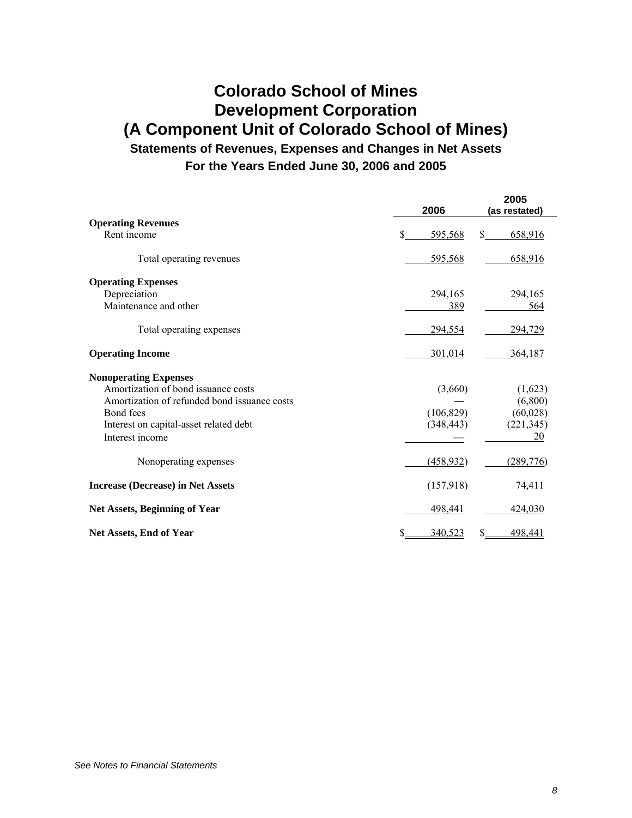# **Colorado School of Mines Development Corporation (A Component Unit of Colorado School of Mines)**

**Statements of Revenues, Expenses and Changes in Net Assets For the Years Ended June 30, 2006 and 2005**

|                                              | 2006          | 2005<br>(as restated) |
|----------------------------------------------|---------------|-----------------------|
| <b>Operating Revenues</b>                    |               |                       |
| Rent income                                  | \$<br>595,568 | \$.<br>658,916        |
| Total operating revenues                     | 595,568       | 658,916               |
| <b>Operating Expenses</b>                    |               |                       |
| Depreciation                                 | 294,165       | 294,165               |
| Maintenance and other                        | 389           | 564                   |
| Total operating expenses                     | 294,554       | 294,729               |
| <b>Operating Income</b>                      | 301,014       | 364,187               |
| <b>Nonoperating Expenses</b>                 |               |                       |
| Amortization of bond issuance costs          | (3,660)       | (1,623)               |
| Amortization of refunded bond issuance costs |               | (6,800)               |
| Bond fees                                    | (106, 829)    | (60, 028)             |
| Interest on capital-asset related debt       | (348, 443)    | (221, 345)            |
| Interest income                              |               | 20                    |
| Nonoperating expenses                        | (458, 932)    | (289, 776)            |
| <b>Increase (Decrease) in Net Assets</b>     | (157,918)     | 74,411                |
| <b>Net Assets, Beginning of Year</b>         | 498,441       | 424,030               |
| Net Assets, End of Year                      | \$<br>340,523 | 498,441<br>S          |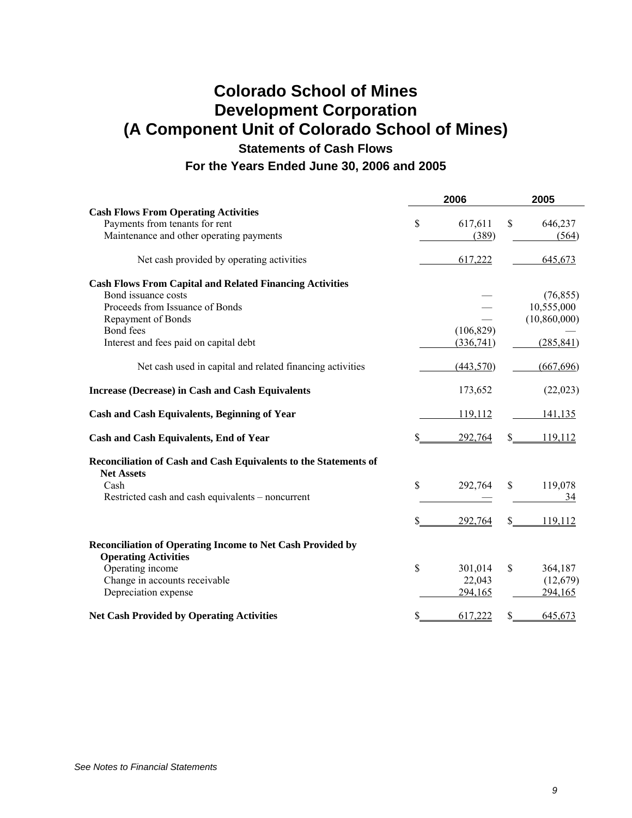## **Colorado School of Mines Development Corporation (A Component Unit of Colorado School of Mines)**

**Statements of Cash Flows** 

**For the Years Ended June 30, 2006 and 2005** 

|                                                                   |             | 2006       |    | 2005           |
|-------------------------------------------------------------------|-------------|------------|----|----------------|
| <b>Cash Flows From Operating Activities</b>                       |             |            |    |                |
| Payments from tenants for rent                                    | \$          | 617,611    | \$ | 646,237        |
| Maintenance and other operating payments                          |             | (389)      |    | (564)          |
| Net cash provided by operating activities                         |             | 617,222    |    | 645,673        |
| <b>Cash Flows From Capital and Related Financing Activities</b>   |             |            |    |                |
| Bond issuance costs                                               |             |            |    | (76, 855)      |
| Proceeds from Issuance of Bonds                                   |             |            |    | 10,555,000     |
| Repayment of Bonds                                                |             |            |    | (10, 860, 000) |
| Bond fees                                                         |             | (106, 829) |    |                |
| Interest and fees paid on capital debt                            |             | (336,741)  |    | (285, 841)     |
| Net cash used in capital and related financing activities         |             | (443, 570) |    | (667, 696)     |
| <b>Increase (Decrease) in Cash and Cash Equivalents</b>           |             | 173,652    |    | (22, 023)      |
| <b>Cash and Cash Equivalents, Beginning of Year</b>               |             | 119,112    |    | 141,135        |
| <b>Cash and Cash Equivalents, End of Year</b>                     | \$          | 292,764    | \$ | 119,112        |
| Reconciliation of Cash and Cash Equivalents to the Statements of  |             |            |    |                |
| <b>Net Assets</b>                                                 |             |            |    |                |
| Cash                                                              | \$          | 292,764    | \$ | 119,078        |
| Restricted cash and cash equivalents - noncurrent                 |             |            |    | 34             |
|                                                                   | S           | 292,764    | S  | 119.112        |
| <b>Reconciliation of Operating Income to Net Cash Provided by</b> |             |            |    |                |
| <b>Operating Activities</b>                                       |             |            |    |                |
| Operating income                                                  | $\mathbf S$ | 301,014    | \$ | 364,187        |
| Change in accounts receivable                                     |             | 22,043     |    | (12,679)       |
| Depreciation expense                                              |             | 294,165    |    | 294,165        |
| <b>Net Cash Provided by Operating Activities</b>                  | S           | 617,222    | \$ | 645,673        |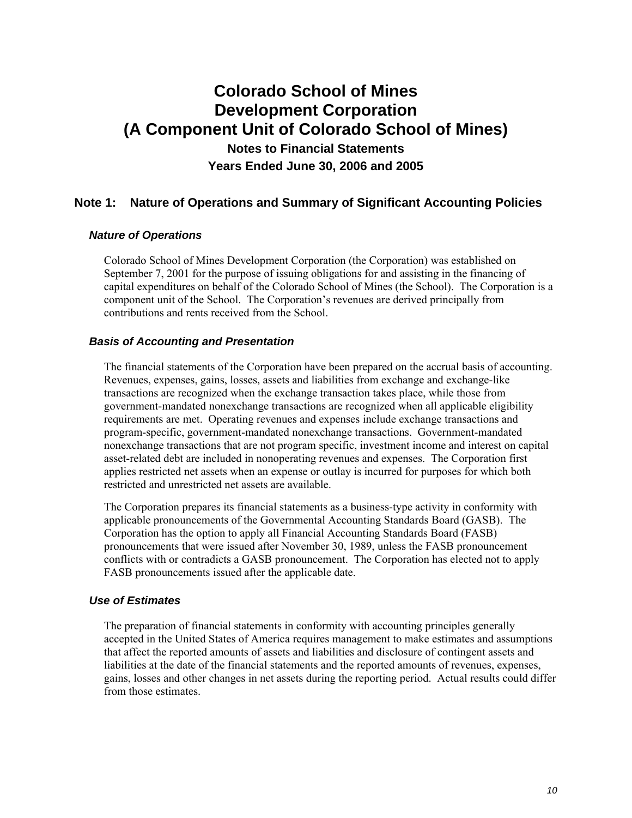#### **Note 1: Nature of Operations and Summary of Significant Accounting Policies**

#### *Nature of Operations*

Colorado School of Mines Development Corporation (the Corporation) was established on September 7, 2001 for the purpose of issuing obligations for and assisting in the financing of capital expenditures on behalf of the Colorado School of Mines (the School). The Corporation is a component unit of the School. The Corporation's revenues are derived principally from contributions and rents received from the School.

#### *Basis of Accounting and Presentation*

The financial statements of the Corporation have been prepared on the accrual basis of accounting. Revenues, expenses, gains, losses, assets and liabilities from exchange and exchange-like transactions are recognized when the exchange transaction takes place, while those from government-mandated nonexchange transactions are recognized when all applicable eligibility requirements are met. Operating revenues and expenses include exchange transactions and program-specific, government-mandated nonexchange transactions. Government-mandated nonexchange transactions that are not program specific, investment income and interest on capital asset-related debt are included in nonoperating revenues and expenses. The Corporation first applies restricted net assets when an expense or outlay is incurred for purposes for which both restricted and unrestricted net assets are available.

The Corporation prepares its financial statements as a business-type activity in conformity with applicable pronouncements of the Governmental Accounting Standards Board (GASB). The Corporation has the option to apply all Financial Accounting Standards Board (FASB) pronouncements that were issued after November 30, 1989, unless the FASB pronouncement conflicts with or contradicts a GASB pronouncement. The Corporation has elected not to apply FASB pronouncements issued after the applicable date.

#### *Use of Estimates*

The preparation of financial statements in conformity with accounting principles generally accepted in the United States of America requires management to make estimates and assumptions that affect the reported amounts of assets and liabilities and disclosure of contingent assets and liabilities at the date of the financial statements and the reported amounts of revenues, expenses, gains, losses and other changes in net assets during the reporting period. Actual results could differ from those estimates.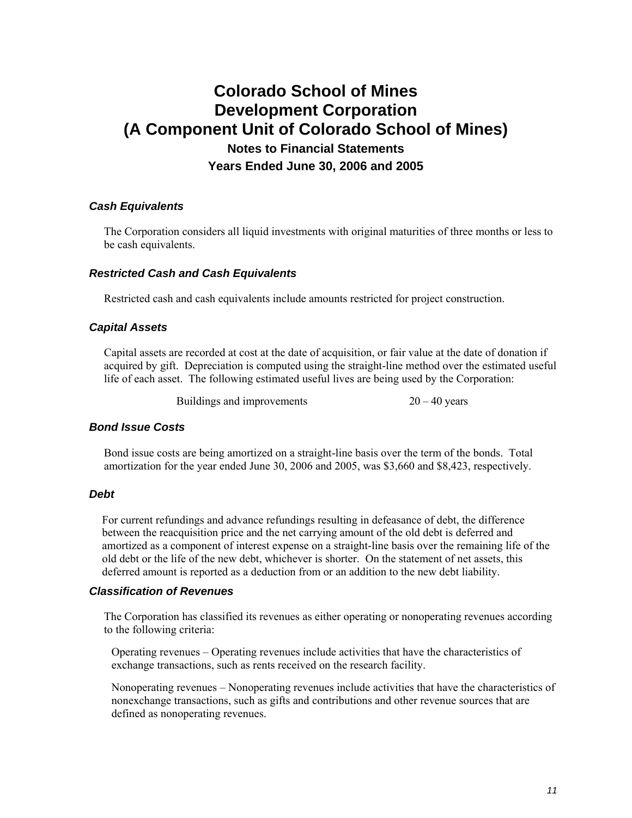#### *Cash Equivalents*

The Corporation considers all liquid investments with original maturities of three months or less to be cash equivalents.

#### *Restricted Cash and Cash Equivalents*

Restricted cash and cash equivalents include amounts restricted for project construction.

#### *Capital Assets*

Capital assets are recorded at cost at the date of acquisition, or fair value at the date of donation if acquired by gift. Depreciation is computed using the straight-line method over the estimated useful life of each asset. The following estimated useful lives are being used by the Corporation:

Buildings and improvements  $20 - 40$  years

#### *Bond Issue Costs*

Bond issue costs are being amortized on a straight-line basis over the term of the bonds. Total amortization for the year ended June 30, 2006 and 2005, was \$3,660 and \$8,423, respectively.

#### *Debt*

For current refundings and advance refundings resulting in defeasance of debt, the difference between the reacquisition price and the net carrying amount of the old debt is deferred and amortized as a component of interest expense on a straight-line basis over the remaining life of the old debt or the life of the new debt, whichever is shorter. On the statement of net assets, this deferred amount is reported as a deduction from or an addition to the new debt liability.

#### *Classification of Revenues*

The Corporation has classified its revenues as either operating or nonoperating revenues according to the following criteria:

Operating revenues – Operating revenues include activities that have the characteristics of exchange transactions, such as rents received on the research facility.

Nonoperating revenues – Nonoperating revenues include activities that have the characteristics of nonexchange transactions, such as gifts and contributions and other revenue sources that are defined as nonoperating revenues.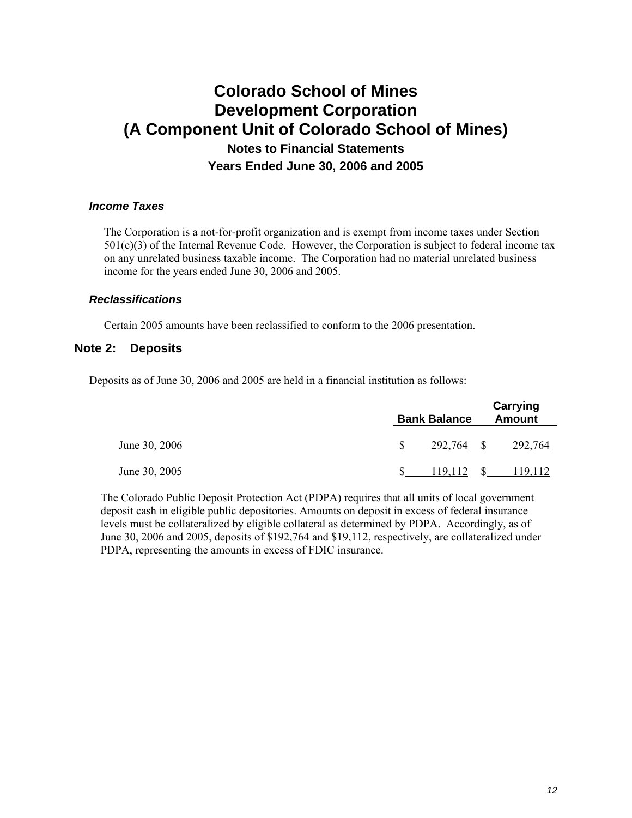#### *Income Taxes*

The Corporation is a not-for-profit organization and is exempt from income taxes under Section 501(c)(3) of the Internal Revenue Code. However, the Corporation is subject to federal income tax on any unrelated business taxable income. The Corporation had no material unrelated business income for the years ended June 30, 2006 and 2005.

#### *Reclassifications*

Certain 2005 amounts have been reclassified to conform to the 2006 presentation.

#### **Note 2: Deposits**

Deposits as of June 30, 2006 and 2005 are held in a financial institution as follows:

|               | <b>Bank Balance</b> |         |              | Carrying<br><b>Amount</b> |  |  |  |
|---------------|---------------------|---------|--------------|---------------------------|--|--|--|
| June 30, 2006 |                     | 292,764 | <sup>S</sup> | 292,764                   |  |  |  |
| June 30, 2005 |                     | 119 112 |              | 119.112                   |  |  |  |

The Colorado Public Deposit Protection Act (PDPA) requires that all units of local government deposit cash in eligible public depositories. Amounts on deposit in excess of federal insurance levels must be collateralized by eligible collateral as determined by PDPA. Accordingly, as of June 30, 2006 and 2005, deposits of \$192,764 and \$19,112, respectively, are collateralized under PDPA, representing the amounts in excess of FDIC insurance.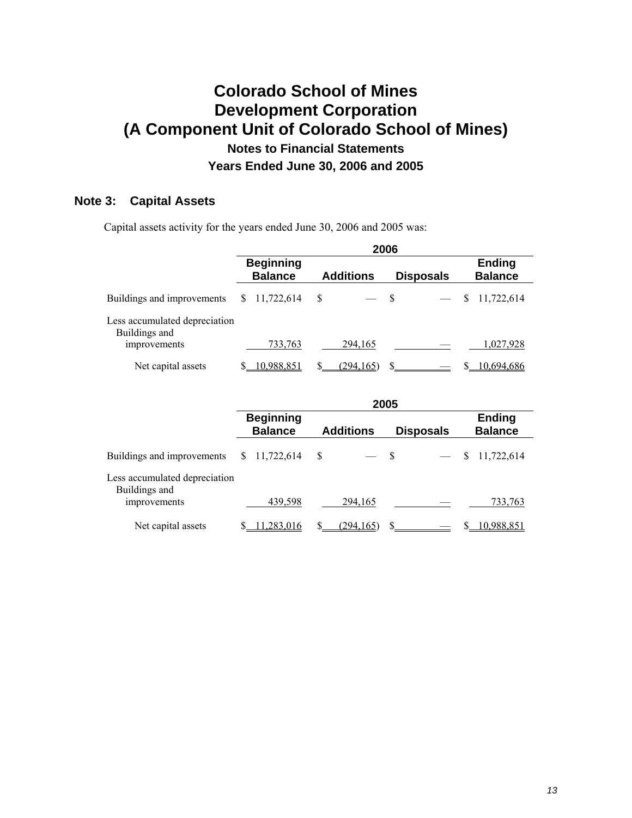### **Note 3: Capital Assets**

Capital assets activity for the years ended June 30, 2006 and 2005 was:

|                                                | 2006                               |                  |                  |                                 |  |  |  |  |  |
|------------------------------------------------|------------------------------------|------------------|------------------|---------------------------------|--|--|--|--|--|
|                                                | <b>Beginning</b><br><b>Balance</b> | <b>Additions</b> | <b>Disposals</b> | <b>Ending</b><br><b>Balance</b> |  |  |  |  |  |
| Buildings and improvements                     | 11,722,614                         | \$               | $\mathbb{S}$     | 11,722,614<br>S                 |  |  |  |  |  |
| Less accumulated depreciation<br>Buildings and |                                    |                  |                  |                                 |  |  |  |  |  |
| improvements                                   | 733,763                            | 294,165          |                  | 1,027,928                       |  |  |  |  |  |
| Net capital assets                             | 10,988,851                         | S<br>(294, 165)  |                  | 10.694.686                      |  |  |  |  |  |

|                                                | 2005                               |            |   |                          |     |                  |    |                                 |  |
|------------------------------------------------|------------------------------------|------------|---|--------------------------|-----|------------------|----|---------------------------------|--|
|                                                | <b>Beginning</b><br><b>Balance</b> |            |   | <b>Additions</b>         |     | <b>Disposals</b> |    | <b>Ending</b><br><b>Balance</b> |  |
| Buildings and improvements                     | S                                  | 11,722,614 | S | $\overline{\phantom{a}}$ | - S |                  | \$ | 11,722,614                      |  |
| Less accumulated depreciation<br>Buildings and |                                    |            |   |                          |     |                  |    |                                 |  |
| improvements                                   |                                    | 439,598    |   | 294,165                  |     |                  |    | 733,763                         |  |
| Net capital assets                             |                                    | .283.016   |   | (294.165)                | \$. |                  |    | 10.988.851                      |  |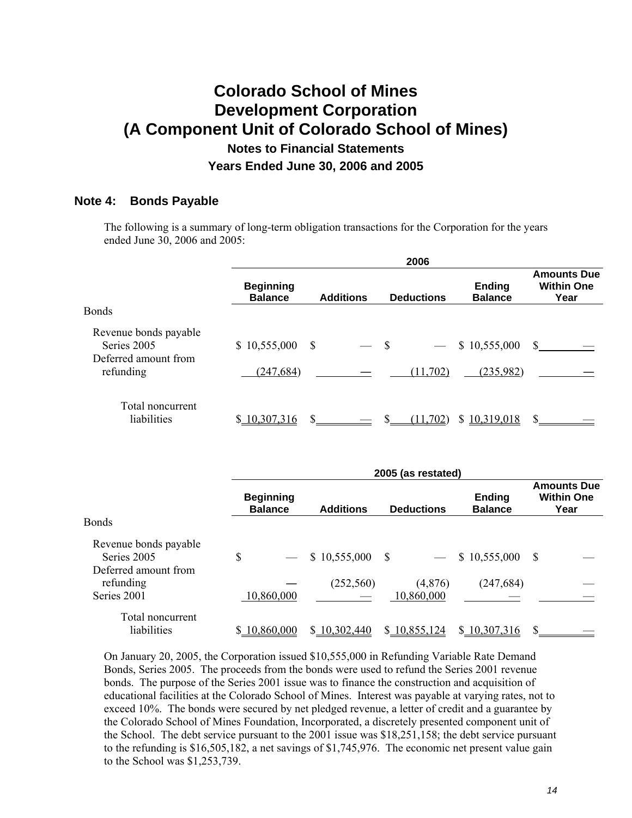#### **Note 4: Bonds Payable**

The following is a summary of long-term obligation transactions for the Corporation for the years ended June 30, 2006 and 2005:

|                                                              | 2006                               |               |                          |    |                   |                                 |                                                 |  |  |
|--------------------------------------------------------------|------------------------------------|---------------|--------------------------|----|-------------------|---------------------------------|-------------------------------------------------|--|--|
|                                                              | <b>Beginning</b><br><b>Balance</b> |               | <b>Additions</b>         |    | <b>Deductions</b> | <b>Ending</b><br><b>Balance</b> | <b>Amounts Due</b><br><b>Within One</b><br>Year |  |  |
| Bonds                                                        |                                    |               |                          |    |                   |                                 |                                                 |  |  |
| Revenue bonds payable<br>Series 2005<br>Deferred amount from | \$10,555,000                       | $\mathcal{S}$ | $\overline{\phantom{0}}$ | -S |                   | \$10,555,000                    | S.                                              |  |  |
| refunding                                                    | (247, 684)                         |               |                          |    | (11, 702)         | (235,982)                       |                                                 |  |  |
| Total noncurrent<br>liabilities                              | \$10,307,316                       | <sup>\$</sup> |                          |    | (11.702)          | 10,319,018<br>S.                |                                                 |  |  |

|                                                              | 2005 (as restated)                 |                  |                   |                                 |                                                 |  |  |  |  |  |
|--------------------------------------------------------------|------------------------------------|------------------|-------------------|---------------------------------|-------------------------------------------------|--|--|--|--|--|
|                                                              | <b>Beginning</b><br><b>Balance</b> | <b>Additions</b> | <b>Deductions</b> | <b>Ending</b><br><b>Balance</b> | <b>Amounts Due</b><br><b>Within One</b><br>Year |  |  |  |  |  |
| <b>Bonds</b>                                                 |                                    |                  |                   |                                 |                                                 |  |  |  |  |  |
| Revenue bonds payable<br>Series 2005<br>Deferred amount from | \$                                 | \$10,555,000     | - \$              | \$10,555,000                    | S                                               |  |  |  |  |  |
| refunding                                                    |                                    | (252, 560)       | (4,876)           | (247, 684)                      |                                                 |  |  |  |  |  |
| Series 2001                                                  | 10,860,000                         |                  | 10,860,000        |                                 |                                                 |  |  |  |  |  |
| Total noncurrent<br>liabilities                              | 10,860,000<br>S.                   | \$10,302,440     | \$10,855,124      | \$10,307,316                    |                                                 |  |  |  |  |  |

On January 20, 2005, the Corporation issued \$10,555,000 in Refunding Variable Rate Demand Bonds, Series 2005. The proceeds from the bonds were used to refund the Series 2001 revenue bonds. The purpose of the Series 2001 issue was to finance the construction and acquisition of educational facilities at the Colorado School of Mines. Interest was payable at varying rates, not to exceed 10%. The bonds were secured by net pledged revenue, a letter of credit and a guarantee by the Colorado School of Mines Foundation, Incorporated, a discretely presented component unit of the School. The debt service pursuant to the 2001 issue was \$18,251,158; the debt service pursuant to the refunding is \$16,505,182, a net savings of \$1,745,976. The economic net present value gain to the School was \$1,253,739.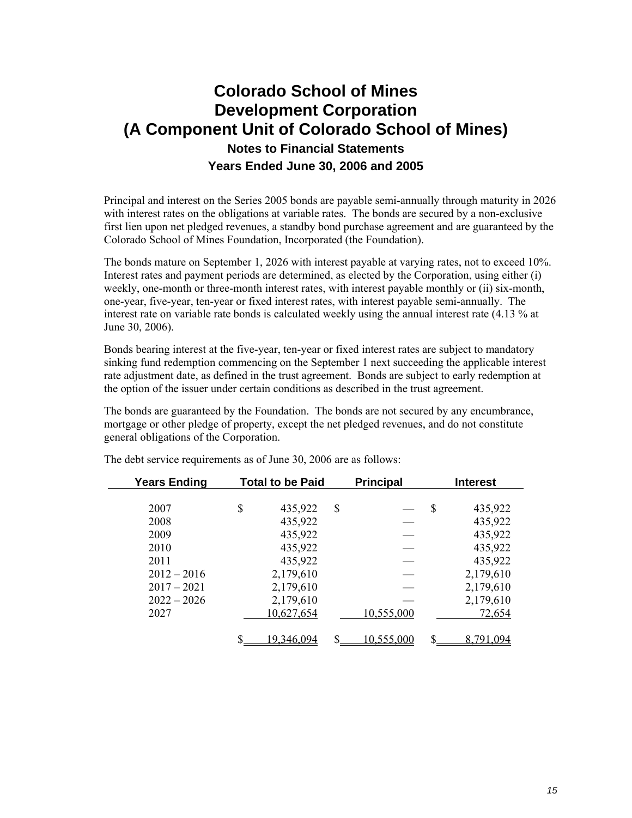Principal and interest on the Series 2005 bonds are payable semi-annually through maturity in 2026 with interest rates on the obligations at variable rates. The bonds are secured by a non-exclusive first lien upon net pledged revenues, a standby bond purchase agreement and are guaranteed by the Colorado School of Mines Foundation, Incorporated (the Foundation).

The bonds mature on September 1, 2026 with interest payable at varying rates, not to exceed 10%. Interest rates and payment periods are determined, as elected by the Corporation, using either (i) weekly, one-month or three-month interest rates, with interest payable monthly or (ii) six-month, one-year, five-year, ten-year or fixed interest rates, with interest payable semi-annually. The interest rate on variable rate bonds is calculated weekly using the annual interest rate (4.13 % at June 30, 2006).

Bonds bearing interest at the five-year, ten-year or fixed interest rates are subject to mandatory sinking fund redemption commencing on the September 1 next succeeding the applicable interest rate adjustment date, as defined in the trust agreement. Bonds are subject to early redemption at the option of the issuer under certain conditions as described in the trust agreement.

The bonds are guaranteed by the Foundation. The bonds are not secured by any encumbrance, mortgage or other pledge of property, except the net pledged revenues, and do not constitute general obligations of the Corporation.

| <b>Years Ending</b> | <b>Total to be Paid</b> |    | <b>Principal</b> |   | <b>Interest</b> |
|---------------------|-------------------------|----|------------------|---|-----------------|
|                     |                         |    |                  |   |                 |
| 2007                | \$<br>435,922           | \$ |                  | S | 435,922         |
| 2008                | 435,922                 |    |                  |   | 435,922         |
| 2009                | 435,922                 |    |                  |   | 435,922         |
| 2010                | 435,922                 |    |                  |   | 435,922         |
| 2011                | 435,922                 |    |                  |   | 435,922         |
| $2012 - 2016$       | 2,179,610               |    |                  |   | 2,179,610       |
| $2017 - 2021$       | 2,179,610               |    |                  |   | 2,179,610       |
| $2022 - 2026$       | 2,179,610               |    |                  |   | 2,179,610       |
| 2027                | 10,627,654              |    | 10,555,000       |   | 72,654          |
|                     |                         |    |                  |   |                 |
|                     | 19.346.094              | S  | 10,555,000       | S | 8.791.094       |

The debt service requirements as of June 30, 2006 are as follows: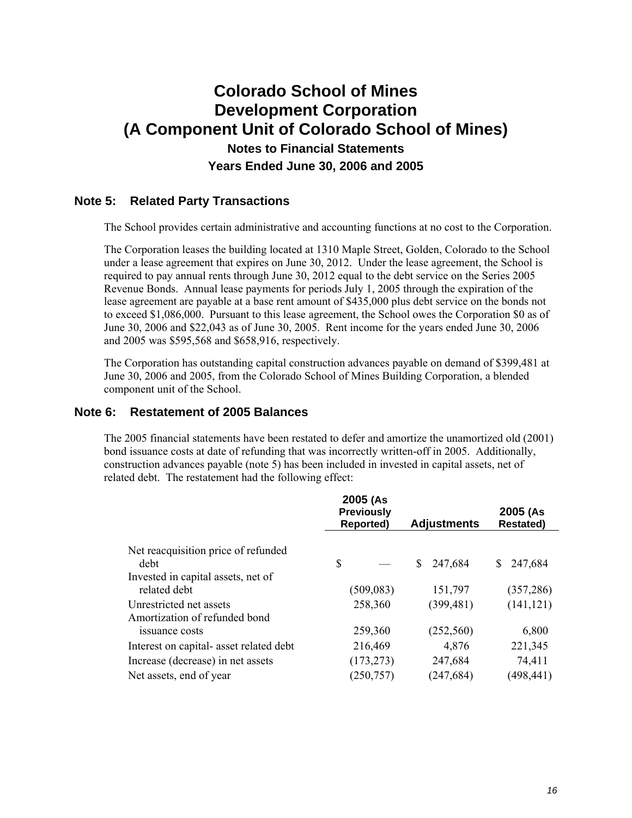#### **Note 5: Related Party Transactions**

The School provides certain administrative and accounting functions at no cost to the Corporation.

The Corporation leases the building located at 1310 Maple Street, Golden, Colorado to the School under a lease agreement that expires on June 30, 2012. Under the lease agreement, the School is required to pay annual rents through June 30, 2012 equal to the debt service on the Series 2005 Revenue Bonds. Annual lease payments for periods July 1, 2005 through the expiration of the lease agreement are payable at a base rent amount of \$435,000 plus debt service on the bonds not to exceed \$1,086,000. Pursuant to this lease agreement, the School owes the Corporation \$0 as of June 30, 2006 and \$22,043 as of June 30, 2005. Rent income for the years ended June 30, 2006 and 2005 was \$595,568 and \$658,916, respectively.

The Corporation has outstanding capital construction advances payable on demand of \$399,481 at June 30, 2006 and 2005, from the Colorado School of Mines Building Corporation, a blended component unit of the School.

#### **Note 6: Restatement of 2005 Balances**

The 2005 financial statements have been restated to defer and amortize the unamortized old (2001) bond issuance costs at date of refunding that was incorrectly written-off in 2005. Additionally, construction advances payable (note 5) has been included in invested in capital assets, net of related debt. The restatement had the following effect:

|                                                          | 2005 (As<br><b>Previously</b><br>Reported) | <b>Adjustments</b> | 2005 (As<br><b>Restated)</b> |
|----------------------------------------------------------|--------------------------------------------|--------------------|------------------------------|
| Net reacquisition price of refunded<br>debt              | S                                          | 247,684<br>S.      | 247,684                      |
| Invested in capital assets, net of<br>related debt       | (509, 083)                                 | 151,797            | (357, 286)                   |
| Unrestricted net assets<br>Amortization of refunded bond | 258,360                                    | (399, 481)         | (141, 121)                   |
| issuance costs                                           | 259,360                                    | (252,560)          | 6,800                        |
| Interest on capital- asset related debt                  | 216,469                                    | 4,876              | 221,345                      |
| Increase (decrease) in net assets                        | (173, 273)                                 | 247,684            | 74,411                       |
| Net assets, end of year                                  | (250, 757)                                 | (247, 684)         | (498, 441)                   |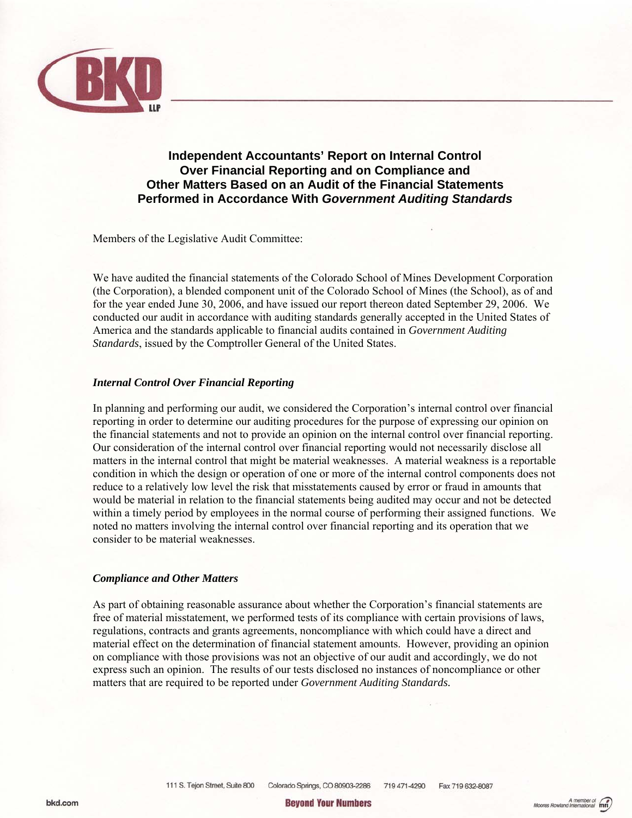

#### **Independent Accountants' Report on Internal Control Over Financial Reporting and on Compliance and Other Matters Based on an Audit of the Financial Statements Performed in Accordance With** *Government Auditing Standards*

Members of the Legislative Audit Committee:

We have audited the financial statements of the Colorado School of Mines Development Corporation (the Corporation), a blended component unit of the Colorado School of Mines (the School), as of and for the year ended June 30, 2006, and have issued our report thereon dated September 29, 2006. We conducted our audit in accordance with auditing standards generally accepted in the United States of America and the standards applicable to financial audits contained in *Government Auditing Standards*, issued by the Comptroller General of the United States.

#### *Internal Control Over Financial Reporting*

In planning and performing our audit, we considered the Corporation's internal control over financial reporting in order to determine our auditing procedures for the purpose of expressing our opinion on the financial statements and not to provide an opinion on the internal control over financial reporting. Our consideration of the internal control over financial reporting would not necessarily disclose all matters in the internal control that might be material weaknesses. A material weakness is a reportable condition in which the design or operation of one or more of the internal control components does not reduce to a relatively low level the risk that misstatements caused by error or fraud in amounts that would be material in relation to the financial statements being audited may occur and not be detected within a timely period by employees in the normal course of performing their assigned functions. We noted no matters involving the internal control over financial reporting and its operation that we consider to be material weaknesses.

#### *Compliance and Other Matters*

As part of obtaining reasonable assurance about whether the Corporation's financial statements are free of material misstatement, we performed tests of its compliance with certain provisions of laws, regulations, contracts and grants agreements, noncompliance with which could have a direct and material effect on the determination of financial statement amounts. However, providing an opinion on compliance with those provisions was not an objective of our audit and accordingly, we do not express such an opinion. The results of our tests disclosed no instances of noncompliance or other matters that are required to be reported under *Government Auditing Standards.*

**Beyond Your Numbers**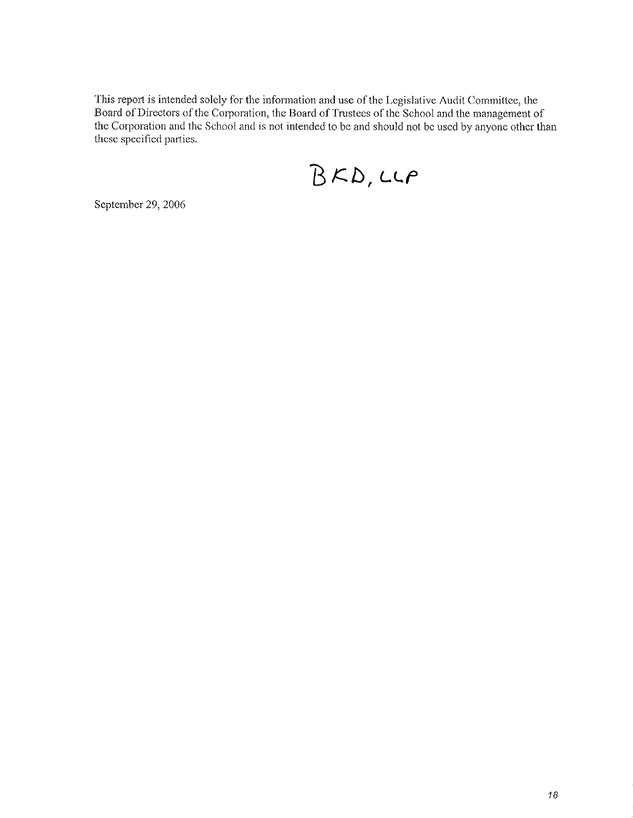This report is intended solely for the information and use of the Legislative Audit Committee, the Board of Directors of the Corporation, the Board of Trustees of the School and the management of the Corporation and the School and is not intended to be and should not be used by anyone other than these specified parties.

 $BKD,CP$ 

September 29, 2006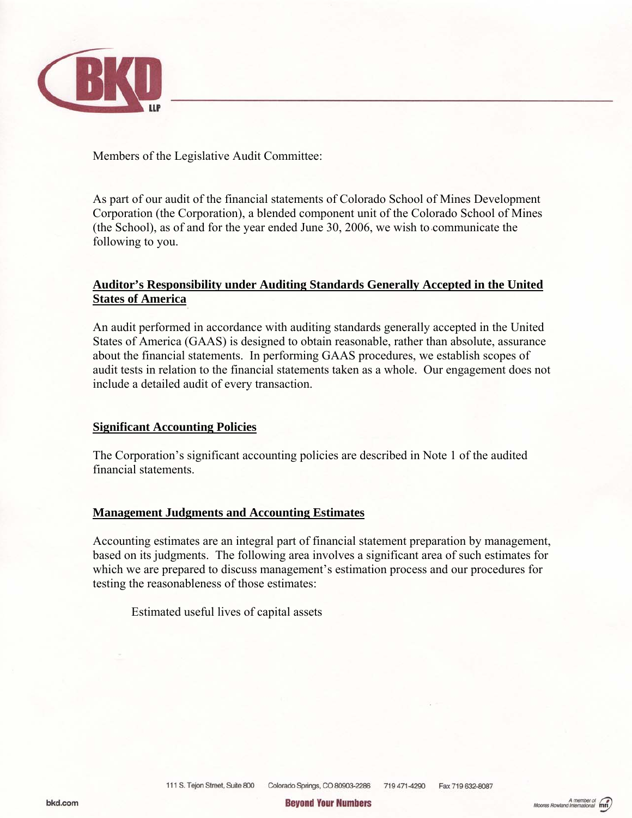

Members of the Legislative Audit Committee:

As part of our audit of the financial statements of Colorado School of Mines Development Corporation (the Corporation), a blended component unit of the Colorado School of Mines (the School), as of and for the year ended June 30, 2006, we wish to communicate the following to you.

#### **Auditor's Responsibility under Auditing Standards Generally Accepted in the United States of America**

An audit performed in accordance with auditing standards generally accepted in the United States of America (GAAS) is designed to obtain reasonable, rather than absolute, assurance about the financial statements. In performing GAAS procedures, we establish scopes of audit tests in relation to the financial statements taken as a whole. Our engagement does not include a detailed audit of every transaction.

#### **Significant Accounting Policies**

The Corporation's significant accounting policies are described in Note 1 of the audited financial statements.

#### **Management Judgments and Accounting Estimates**

Accounting estimates are an integral part of financial statement preparation by management, based on its judgments. The following area involves a significant area of such estimates for which we are prepared to discuss management's estimation process and our procedures for testing the reasonableness of those estimates:

Estimated useful lives of capital assets

**Bevond Your Numbers**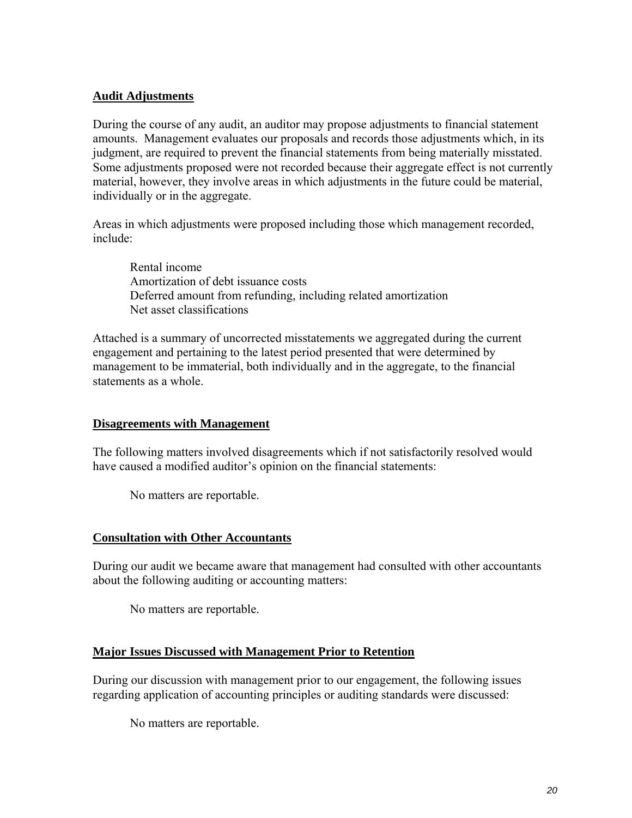#### **Audit Adjustments**

During the course of any audit, an auditor may propose adjustments to financial statement amounts. Management evaluates our proposals and records those adjustments which, in its judgment, are required to prevent the financial statements from being materially misstated. Some adjustments proposed were not recorded because their aggregate effect is not currently material, however, they involve areas in which adjustments in the future could be material, individually or in the aggregate.

Areas in which adjustments were proposed including those which management recorded, include:

Rental income Amortization of debt issuance costs Deferred amount from refunding, including related amortization Net asset classifications

Attached is a summary of uncorrected misstatements we aggregated during the current engagement and pertaining to the latest period presented that were determined by management to be immaterial, both individually and in the aggregate, to the financial statements as a whole.

#### **Disagreements with Management**

The following matters involved disagreements which if not satisfactorily resolved would have caused a modified auditor's opinion on the financial statements:

No matters are reportable.

#### **Consultation with Other Accountants**

During our audit we became aware that management had consulted with other accountants about the following auditing or accounting matters:

No matters are reportable.

#### **Major Issues Discussed with Management Prior to Retention**

During our discussion with management prior to our engagement, the following issues regarding application of accounting principles or auditing standards were discussed:

No matters are reportable.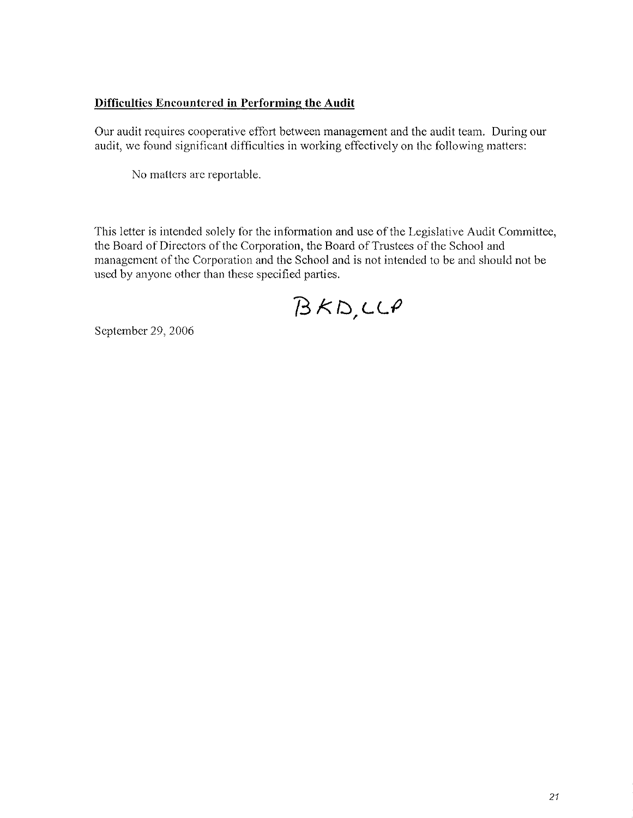#### Difficulties Encountered in Performing the Audit

Our audit requires cooperative effort between management and the audit team. During our audit, we found significant difficulties in working effectively on the following matters:

No matters are reportable.

This letter is intended solely for the information and use of the Legislative Audit Committee, the Board of Directors of the Corporation, the Board of Trustees of the School and management of the Corporation and the School and is not intended to be and should not be used by anyone other than these specified parties.

 $BKD,CCP$ 

September 29, 2006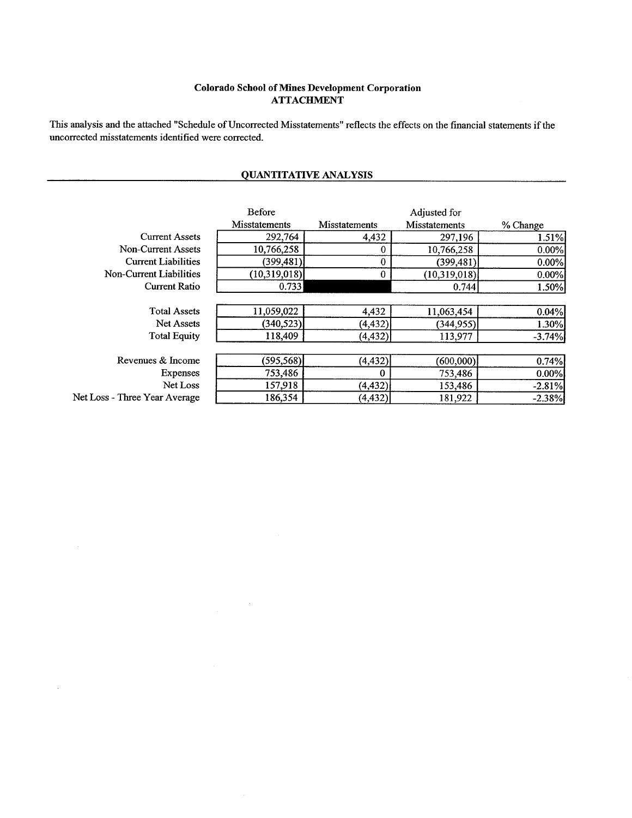#### **Colorado School of Mines Development Corporation ATTACHMENT**

This analysis and the attached "Schedule of Uncorrected Misstatements" reflects the effects on the financial statements if the uncorrected misstatements identified were corrected.

#### **QUANTITATIVE ANALYSIS**

|                               | <b>Before</b>        |                      | Adjusted for         |          |
|-------------------------------|----------------------|----------------------|----------------------|----------|
|                               | <b>Misstatements</b> | <b>Misstatements</b> | <b>Misstatements</b> | % Change |
| <b>Current Assets</b>         | 292,764              | 4,432                | 297,196              | 1.51%    |
| Non-Current Assets            | 10,766,258           |                      | 10,766,258           | 0.00%    |
| <b>Current Liabilities</b>    | (399, 481)           | 0                    | (399, 481)           | 0.00%    |
| Non-Current Liabilities       | (10,319,018)         | 0                    | (10, 319, 018)       | 0.00%    |
| <b>Current Ratio</b>          | 0.733                |                      | 0.744                | 1.50%    |
|                               |                      |                      |                      |          |
| <b>Total Assets</b>           | 11,059,022           | 4,432                | 11,063,454           | 0.04%    |
| <b>Net Assets</b>             | (340,523)            | (4, 432)             | (344, 955)           | 1.30%    |
| <b>Total Equity</b>           | 118,409              | (4, 432)             | 113,977              | $-3.74%$ |
|                               |                      |                      |                      |          |
| Revenues & Income             | (595, 568)           | (4, 432)             | (600,000)            | 0.74%    |
| <b>Expenses</b>               | 753,486              | 0                    | 753,486              | 0.00%    |
| Net Loss                      | 157,918              | (4, 432)             | 153,486              | $-2.81%$ |
| Net Loss - Three Year Average | 186,354              | (4, 432)             | 181,922              | $-2.38%$ |

 $\bar{\mathcal{A}}$ 

 $\mathcal{A}^{\mathcal{A}}$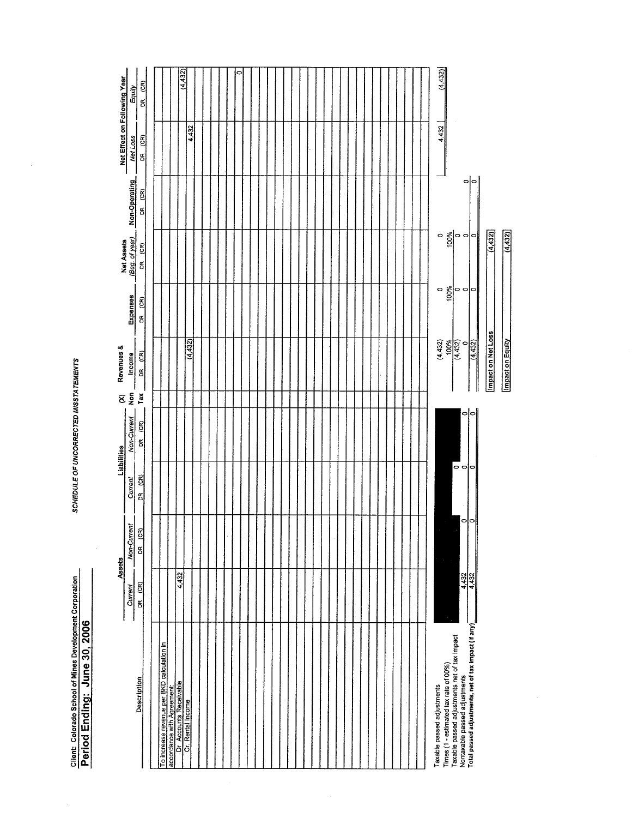Client: Colorado School of Mines Development Corporation<br>Period Ending: June 30, 2006

 $\hat{\mathcal{A}}$ 

SCHEDULE OF UNCORRECTED MISSTATEMENTS

|                                                                                       |                       | Assets             | Liabilities       |                               | 8             | Revenues &              |                                           |                              |               | Net Effect on Following Year<br>I |          |
|---------------------------------------------------------------------------------------|-----------------------|--------------------|-------------------|-------------------------------|---------------|-------------------------|-------------------------------------------|------------------------------|---------------|-----------------------------------|----------|
|                                                                                       | Current               | Non-Current        | Current           | Non-Current                   | $\frac{6}{2}$ | Income                  | Expenses                                  | Net Assets<br>(Beg. of year) | Non-Operating | Net Loss                          | Equity   |
| <b>Description</b>                                                                    | DR (CR)               | DR <sub>(CR)</sub> | ලි<br>$\tilde{a}$ | $\mathfrak{E}$<br>$\mathbf g$ | Tax           | DR <sub>(CR)</sub>      | $\widehat{\mathbf{g}}$<br>$\tilde{\rm g}$ | ලි<br>$\mathbf{g}$           | (56)<br>g     | DR (CR)                           | DR (CR)  |
|                                                                                       |                       |                    |                   |                               |               |                         |                                           |                              |               |                                   |          |
| To increase revenue per BKD calculation in                                            |                       |                    |                   |                               |               |                         |                                           |                              |               |                                   |          |
| accordance with Agreement:                                                            |                       |                    |                   |                               |               |                         |                                           |                              |               |                                   |          |
| Dr Accounts Receivable                                                                | 4,432                 |                    |                   |                               |               |                         |                                           |                              |               |                                   | (4, 432) |
| Cr. Rental Income                                                                     |                       |                    |                   |                               |               | (4, 432)                |                                           |                              |               | 4,432                             |          |
|                                                                                       |                       |                    |                   |                               |               |                         |                                           |                              |               |                                   |          |
|                                                                                       |                       |                    |                   |                               |               |                         |                                           |                              |               |                                   |          |
|                                                                                       |                       |                    |                   |                               |               |                         |                                           |                              |               |                                   |          |
|                                                                                       |                       |                    |                   |                               |               |                         |                                           |                              |               |                                   |          |
|                                                                                       |                       |                    |                   |                               |               |                         |                                           |                              |               |                                   |          |
|                                                                                       |                       |                    |                   |                               |               |                         |                                           |                              |               |                                   | 0        |
|                                                                                       |                       |                    |                   |                               |               |                         |                                           |                              |               |                                   |          |
|                                                                                       |                       |                    |                   |                               |               |                         |                                           |                              |               |                                   |          |
|                                                                                       |                       |                    |                   |                               |               |                         |                                           |                              |               |                                   |          |
|                                                                                       |                       |                    |                   |                               |               |                         |                                           |                              |               |                                   |          |
|                                                                                       |                       |                    |                   |                               |               |                         |                                           |                              |               |                                   |          |
|                                                                                       |                       |                    |                   |                               |               |                         |                                           |                              |               |                                   |          |
|                                                                                       |                       |                    |                   |                               |               |                         |                                           |                              |               |                                   |          |
|                                                                                       |                       |                    |                   |                               |               |                         |                                           |                              |               |                                   |          |
|                                                                                       |                       |                    |                   |                               |               |                         |                                           |                              |               |                                   |          |
|                                                                                       |                       |                    |                   |                               |               |                         |                                           |                              |               |                                   |          |
|                                                                                       |                       |                    |                   |                               |               |                         |                                           |                              |               |                                   |          |
|                                                                                       |                       |                    |                   |                               |               |                         |                                           |                              |               |                                   |          |
|                                                                                       |                       |                    |                   |                               |               |                         |                                           |                              |               |                                   |          |
|                                                                                       |                       |                    |                   |                               |               |                         |                                           |                              |               |                                   |          |
|                                                                                       |                       |                    |                   |                               |               |                         |                                           |                              |               |                                   |          |
|                                                                                       |                       |                    |                   |                               |               |                         |                                           |                              |               |                                   |          |
|                                                                                       |                       |                    |                   |                               |               |                         |                                           |                              |               |                                   |          |
|                                                                                       |                       |                    |                   |                               |               |                         |                                           |                              |               |                                   |          |
|                                                                                       |                       |                    |                   |                               |               |                         |                                           |                              |               |                                   |          |
|                                                                                       |                       |                    |                   |                               |               |                         |                                           |                              |               |                                   |          |
|                                                                                       |                       |                    |                   |                               |               |                         |                                           |                              |               |                                   |          |
|                                                                                       |                       |                    |                   |                               |               |                         |                                           |                              |               |                                   |          |
| Taxable passed adjustments                                                            |                       |                    |                   |                               |               | (4,432)                 | $\circ$                                   |                              |               | 4,432                             | (4,432)  |
| Taxable passed adjustments net of tax impact<br>Times (1 - estimated tax rate of 00%) |                       |                    |                   |                               |               |                         | 100%                                      |                              |               |                                   |          |
| Nontaxable passed adjustments                                                         |                       |                    | –<br>၀၀၀          |                               |               | $\frac{100\%}{(4.432)}$ | $\circ \circ \circ$                       | $\frac{1}{2}$                |               |                                   |          |
| Total passed adjustments, net of tax impact (if any)                                  | $\frac{4,432}{4,432}$ | 이이                 |                   | 이아                            |               | (4, 432)                |                                           | $\circ$                      | 이             |                                   |          |
|                                                                                       |                       |                    |                   |                               |               |                         |                                           |                              |               |                                   |          |
|                                                                                       |                       |                    |                   |                               |               | Impact on Net Loss      |                                           | (4, 432)                     |               |                                   |          |

 $(4, 432)$ 

**Impact on Equity** 

 $\hat{\mathcal{A}}$